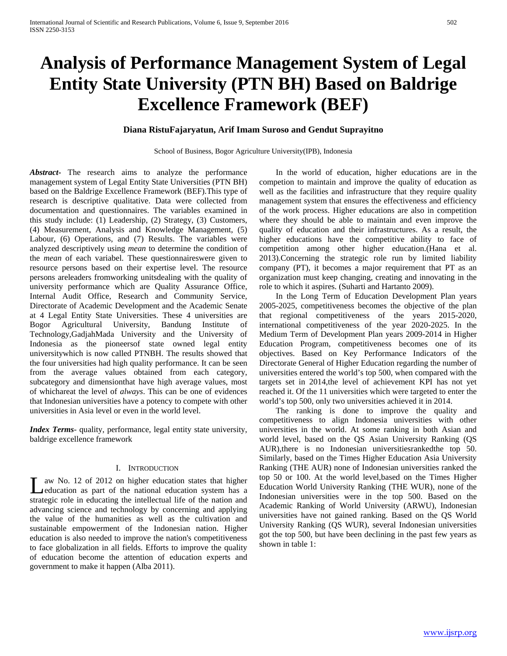# **Analysis of Performance Management System of Legal Entity State University (PTN BH) Based on Baldrige Excellence Framework (BEF)**

## **Diana RistuFajaryatun, Arif Imam Suroso and Gendut Suprayitno**

School of Business, Bogor Agriculture University(IPB), Indonesia

*Abstract***-** The research aims to analyze the performance management system of Legal Entity State Universities (PTN BH) based on the Baldrige Excellence Framework (BEF).This type of research is descriptive qualitative. Data were collected from documentation and questionnaires. The variables examined in this study include: (1) Leadership, (2) Strategy, (3) Customers, (4) Measurement, Analysis and Knowledge Management, (5) Labour, (6) Operations, and (7) Results. The variables were analyzed descriptively using *mean* to determine the condition of the *mean* of each variabel. These questionnaireswere given to resource persons based on their expertise level. The resource persons areleaders fromworking unitsdealing with the quality of university performance which are Quality Assurance Office, Internal Audit Office, Research and Community Service, Directorate of Academic Development and the Academic Senate at 4 Legal Entity State Universities. These 4 universities are Bogor Agricultural University, Bandung Institute of Technology,GadjahMada University and the University of Indonesia as the pioneersof state owned legal entity universitywhich is now called PTNBH. The results showed that the four universities had high quality performance. It can be seen from the average values obtained from each category, subcategory and dimensionthat have high average values, most of whichareat the level of *always*. This can be one of evidences that Indonesian universities have a potency to compete with other universities in Asia level or even in the world level.

*Index Terms*- quality, performance, legal entity state university, baldrige excellence framework

#### I. INTRODUCTION

aw No. 12 of 2012 on higher education states that higher Let a No. 12 of 2012 on higher education states that higher<br>
Leducation as part of the national education system has a strategic role in educating the intellectual life of the nation and advancing science and technology by concerning and applying the value of the humanities as well as the cultivation and sustainable empowerment of the Indonesian nation. Higher education is also needed to improve the nation's competitiveness to face globalization in all fields. Efforts to improve the quality of education become the attention of education experts and government to make it happen (Alba 2011).

 In the world of education, higher educations are in the competion to maintain and improve the quality of education as well as the facilities and infrastructure that they require quality management system that ensures the effectiveness and efficiency of the work process. Higher educations are also in competition where they should be able to maintain and even improve the quality of education and their infrastructures. As a result, the higher educations have the competitive ability to face of competition among other higher education.(Hana et al. 2013).Concerning the strategic role run by limited liability company (PT), it becomes a major requirement that PT as an organization must keep changing, creating and innovating in the role to which it aspires. (Suharti and Hartanto 2009).

 In the Long Term of Education Development Plan years 2005-2025, competitiveness becomes the objective of the plan that regional competitiveness of the years 2015-2020, international competitiveness of the year 2020-2025. In the Medium Term of Development Plan years 2009-2014 in Higher Education Program, competitiveness becomes one of its objectives. Based on Key Performance Indicators of the Directorate General of Higher Education regarding the number of universities entered the world's top 500, when compared with the targets set in 2014,the level of achievement KPI has not yet reached it. Of the 11 universities which were targeted to enter the world's top 500, only two universities achieved it in 2014.

 The ranking is done to improve the quality and competitiveness to align Indonesia universities with other universities in the world. At some ranking in both Asian and world level, based on the QS Asian University Ranking (QS AUR),there is no Indonesian universitiesrankedthe top 50. Similarly, based on the Times Higher Education Asia University Ranking (THE AUR) none of Indonesian universities ranked the top 50 or 100. At the world level,based on the Times Higher Education World University Ranking (THE WUR), none of the Indonesian universities were in the top 500. Based on the Academic Ranking of World University (ARWU), Indonesian universities have not gained ranking. Based on the QS World University Ranking (QS WUR), several Indonesian universities got the top 500, but have been declining in the past few years as shown in table 1: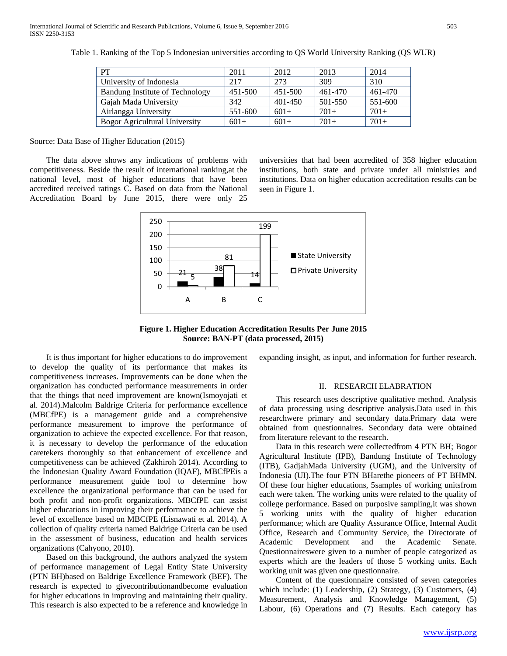| PT                                   | 2011    | 2012    | 2013    | 2014    |
|--------------------------------------|---------|---------|---------|---------|
| University of Indonesia              | 217     | 273     | 309     | 310     |
| Bandung Institute of Technology      | 451-500 | 451-500 | 461-470 | 461-470 |
| Gajah Mada University                | 342     | 401-450 | 501-550 | 551-600 |
| Airlangga University                 | 551-600 | $601+$  | $701+$  | $701+$  |
| <b>Bogor Agricultural University</b> | $601+$  | $601+$  | $701+$  | $701+$  |

Table 1. Ranking of the Top 5 Indonesian universities according to QS World University Ranking (QS WUR)

Source: Data Base of Higher Education (2015)

 The data above shows any indications of problems with competitiveness. Beside the result of international ranking,at the national level, most of higher educations that have been accredited received ratings C. Based on data from the National Accreditation Board by June 2015, there were only 25

universities that had been accredited of 358 higher education institutions, both state and private under all ministries and institutions. Data on higher education accreditation results can be seen in Figure 1.



**Figure 1. Higher Education Accreditation Results Per June 2015 Source: BAN-PT (data processed, 2015)**

 It is thus important for higher educations to do improvement to develop the quality of its performance that makes its competitiveness increases. Improvements can be done when the organization has conducted performance measurements in order that the things that need improvement are known(Ismoyojati et al. 2014).Malcolm Baldrige Criteria for performance excellence (MBCfPE) is a management guide and a comprehensive performance measurement to improve the performance of organization to achieve the expected excellence. For that reason, it is necessary to develop the performance of the education caretekers thoroughly so that enhancement of excellence and competitiveness can be achieved (Zakhiroh 2014). According to the Indonesian Quality Award Foundation (IQAF), MBCfPEis a performance measurement guide tool to determine how excellence the organizational performance that can be used for both profit and non-profit organizations. MBCfPE can assist higher educations in improving their performance to achieve the level of excellence based on MBCfPE (Lisnawati et al. 2014). A collection of quality criteria named Baldrige Criteria can be used in the assessment of business, education and health services organizations (Cahyono, 2010).

 Based on this background, the authors analyzed the system of performance management of Legal Entity State University (PTN BH)based on Baldrige Excellence Framework (BEF). The research is expected to givecontributionandbecome evaluation for higher educations in improving and maintaining their quality. This research is also expected to be a reference and knowledge in

expanding insight, as input, and information for further research.

#### II. RESEARCH ELABRATION

 This research uses descriptive qualitative method. Analysis of data processing using descriptive analysis.Data used in this researchwere primary and secondary data.Primary data were obtained from questionnaires. Secondary data were obtained from literature relevant to the research.

 Data in this research were collectedfrom 4 PTN BH; Bogor Agricultural Institute (IPB), Bandung Institute of Technology (ITB), GadjahMada University (UGM), and the University of Indonesia (UI).The four PTN BHarethe pioneers of PT BHMN. Of these four higher educations, 5samples of working unitsfrom each were taken. The working units were related to the quality of college performance. Based on purposive sampling,it was shown 5 working units with the quality of higher education performance; which are Quality Assurance Office, Internal Audit Office, Research and Community Service, the Directorate of Academic Development and the Academic Senate. Questionnaireswere given to a number of people categorized as experts which are the leaders of those 5 working units. Each working unit was given one questionnaire.

 Content of the questionnaire consisted of seven categories which include: (1) Leadership, (2) Strategy, (3) Customers, (4) Measurement, Analysis and Knowledge Management, (5) Labour, (6) Operations and (7) Results. Each category has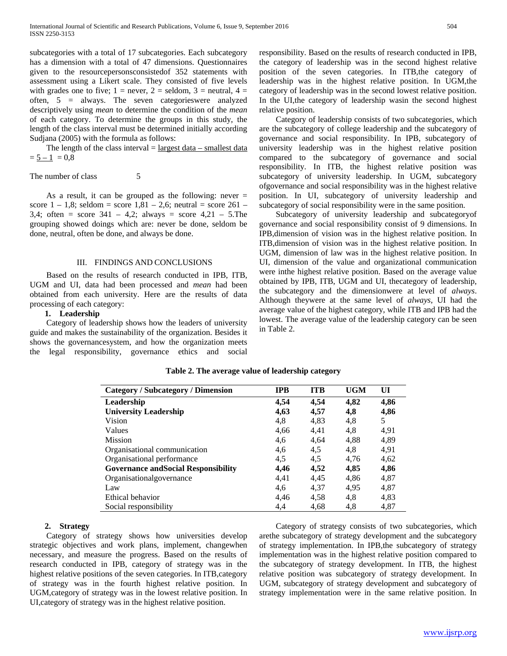subcategories with a total of 17 subcategories. Each subcategory has a dimension with a total of 47 dimensions. Questionnaires given to the resourcepersonsconsistedof 352 statements with assessment using a Likert scale. They consisted of five levels with grades one to five;  $1 =$  never,  $2 =$  seldom,  $3 =$  neutral,  $4 =$ often, 5 = always. The seven categorieswere analyzed descriptively using *mean* to determine the condition of the *mean* of each category. To determine the groups in this study, the length of the class interval must be determined initially according Sudjana (2005) with the formula as follows:

The length of the class interval  $=$  largest data – smallest data  $= 5 - 1 = 0.8$ 

The number of class 5

As a result, it can be grouped as the following: never  $=$ score  $1 - 1,8$ ; seldom = score  $1,81 - 2,6$ ; neutral = score  $261 -$ 3,4; often = score  $341 - 4,2$ ; always = score  $4,21 - 5$ . The grouping showed doings which are: never be done, seldom be done, neutral, often be done, and always be done.

#### III. FINDINGS AND CONCLUSIONS

 Based on the results of research conducted in IPB, ITB, UGM and UI, data had been processed and *mean* had been obtained from each university. Here are the results of data processing of each category:

## **1. Leadership**

 Category of leadership shows how the leaders of university guide and makes the sustainability of the organization. Besides it shows the governancesystem, and how the organization meets the legal responsibility, governance ethics and social

responsibility. Based on the results of research conducted in IPB, the category of leadership was in the second highest relative position of the seven categories. In ITB,the category of leadership was in the highest relative position. In UGM,the category of leadership was in the second lowest relative position. In the UI,the category of leadership wasin the second highest relative position.

 Category of leadership consists of two subcategories, which are the subcategory of college leadership and the subcategory of governance and social responsibility. In IPB, subcategory of university leadership was in the highest relative position compared to the subcategory of governance and social responsibility. In ITB, the highest relative position was subcategory of university leadership. In UGM, subcategory ofgovernance and social responsibility was in the highest relative position. In UI, subcategory of university leadership and subcategory of social responsibility were in the same position.

 Subcategory of university leadership and subcategoryof governance and social responsibility consist of 9 dimensions. In IPB,dimension of vision was in the highest relative position. In ITB,dimension of vision was in the highest relative position. In UGM, dimension of law was in the highest relative position. In UI, dimension of the value and organizational communication were inthe highest relative position. Based on the average value obtained by IPB, ITB, UGM and UI, thecategory of leadership, the subcategory and the dimensionwere at level of *always*. Although theywere at the same level of *always*, UI had the average value of the highest category, while ITB and IPB had the lowest. The average value of the leadership category can be seen in Table 2.

| Category / Subcategory / Dimension          | <b>IPB</b> | <b>ITB</b> | <b>UGM</b> | UI   |
|---------------------------------------------|------------|------------|------------|------|
| Leadership                                  | 4,54       | 4,54       | 4,82       | 4,86 |
| <b>University Leadership</b>                | 4,63       | 4,57       | 4,8        | 4,86 |
| Vision                                      | 4,8        | 4,83       | 4,8        | 5    |
| Values                                      | 4,66       | 4,41       | 4,8        | 4,91 |
| <b>Mission</b>                              | 4,6        | 4,64       | 4,88       | 4,89 |
| Organisational communication                | 4,6        | 4,5        | 4,8        | 4,91 |
| Organisational performance                  | 4,5        | 4,5        | 4,76       | 4,62 |
| <b>Governance and Social Responsibility</b> | 4,46       | 4,52       | 4,85       | 4,86 |
| Organisationalgovernance                    | 4.41       | 4,45       | 4,86       | 4,87 |
| Law                                         | 4,6        | 4,37       | 4.95       | 4,87 |
| Ethical behavior                            | 4.46       | 4.58       | 4,8        | 4,83 |
| Social responsibility                       | 4,4        | 4.68       | 4,8        | 4,87 |

#### **Table 2. The average value of leadership category**

#### **2. Strategy**

 Category of strategy shows how universities develop strategic objectives and work plans, implement, changewhen necessary, and measure the progress. Based on the results of research conducted in IPB, category of strategy was in the highest relative positions of the seven categories. In ITB,category of strategy was in the fourth highest relative position. In UGM,category of strategy was in the lowest relative position. In UI,category of strategy was in the highest relative position.

 Category of strategy consists of two subcategories, which arethe subcategory of strategy development and the subcategory of strategy implementation. In IPB,the subcategory of strategy implementation was in the highest relative position compared to the subcategory of strategy development. In ITB, the highest relative position was subcategory of strategy development. In UGM, subcategory of strategy development and subcategory of strategy implementation were in the same relative position. In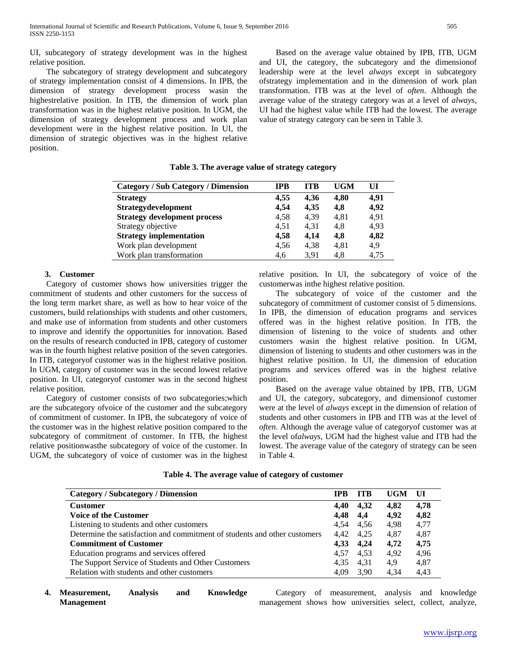UI, subcategory of strategy development was in the highest relative position.

 The subcategory of strategy development and subcategory of strategy implementation consist of 4 dimensions. In IPB, the dimension of strategy development process wasin the highestrelative position. In ITB, the dimension of work plan transformation was in the highest relative position. In UGM, the dimension of strategy development process and work plan development were in the highest relative position. In UI, the dimension of strategic objectives was in the highest relative position.

 Based on the average value obtained by IPB, ITB, UGM and UI, the category, the subcategory and the dimensionof leadership were at the level *always* except in subcategory ofstrategy implementation and in the dimension of work plan transformation. ITB was at the level of *often*. Although the average value of the strategy category was at a level of *always*, UI had the highest value while ITB had the lowest. The average value of strategy category can be seen in Table 3.

| <b>Category / Sub Category / Dimension</b> | IPB  | <b>TTB</b> | <b>UGM</b> | UI   |
|--------------------------------------------|------|------------|------------|------|
| <b>Strategy</b>                            | 4,55 | 4.36       | 4.80       | 4.91 |
| <b>Strategydevelopment</b>                 | 4.54 | 4,35       | 4,8        | 4,92 |
| <b>Strategy development process</b>        | 4,58 | 4,39       | 4,81       | 4,91 |
| Strategy objective                         | 4,51 | 4.31       | 4.8        | 4,93 |
| <b>Strategy implementation</b>             | 4,58 | 4.14       | 4,8        | 4,82 |
| Work plan development                      | 4,56 | 4,38       | 4,81       | 4,9  |
| Work plan transformation                   | 4.6  | 3.91       | 4,8        | 4,75 |

## **Table 3. The average value of strategy category**

## **3. Customer**

 Category of customer shows how universities trigger the commitment of students and other customers for the success of the long term market share, as well as how to hear voice of the customers, build relationships with students and other customers, and make use of information from students and other customers to improve and identify the opportunities for innovation. Based on the results of research conducted in IPB, category of customer was in the fourth highest relative position of the seven categories. In ITB, categoryof customer was in the highest relative position. In UGM, category of customer was in the second lowest relative position. In UI, categoryof customer was in the second highest relative position.

 Category of customer consists of two subcategories;which are the subcategory ofvoice of the customer and the subcategory of commitment of customer. In IPB, the subcategory of voice of the customer was in the highest relative position compared to the subcategory of commitment of customer. In ITB, the highest relative positionwasthe subcategory of voice of the customer. In UGM, the subcategory of voice of customer was in the highest relative position. In UI, the subcategory of voice of the customerwas inthe highest relative position.

 The subcategory of voice of the customer and the subcategory of commitment of customer consist of 5 dimensions. In IPB, the dimension of education programs and services offered was in the highest relative position. In ITB, the dimension of listening to the voice of students and other customers wasin the highest relative position. In UGM, dimension of listening to students and other customers was in the highest relative position. In UI, the dimension of education programs and services offered was in the highest relative position.

 Based on the average value obtained by IPB, ITB, UGM and UI, the category, subcategory, and dimensionof customer were at the level of *always* except in the dimension of relation of students and other customers in IPB and ITB was at the level of *often*. Although the average value of categoryof customer was at the level of*always*, UGM had the highest value and ITB had the lowest. The average value of the category of strategy can be seen in Table 4.

| Table 4. The average value of category of customer |  |  |
|----------------------------------------------------|--|--|
|                                                    |  |  |

| <b>Category / Subcategory / Dimension</b>                                 | <b>TPB</b> | <b>ITB</b> | UGM  | UI   |
|---------------------------------------------------------------------------|------------|------------|------|------|
| <b>Customer</b>                                                           | 4.40       | 4,32       | 4.82 | 4.78 |
| <b>Voice of the Customer</b>                                              | 4.48       | 4.4        | 4,92 | 4.82 |
| Listening to students and other customers                                 | 4.54       | 4.56       | 4.98 | 4.77 |
| Determine the satisfaction and commitment of students and other customers |            | 4,42 4,25  | 4.87 | 4.87 |
| <b>Commitment of Customer</b>                                             | 4,33       | 4,24       | 4,72 | 4.75 |
| Education programs and services offered                                   | 4.57       | 4.53       | 4.92 | 4.96 |
| The Support Service of Students and Other Customers                       | 4.35       | 4.31       | 4,9  | 4.87 |
| Relation with students and other customers                                | 4,09       | 3.90       | 4.34 | 4.43 |

**4. Measurement, Analysis and Knowledge Management**

 Category of measurement, analysis and knowledge management shows how universities select, collect, analyze,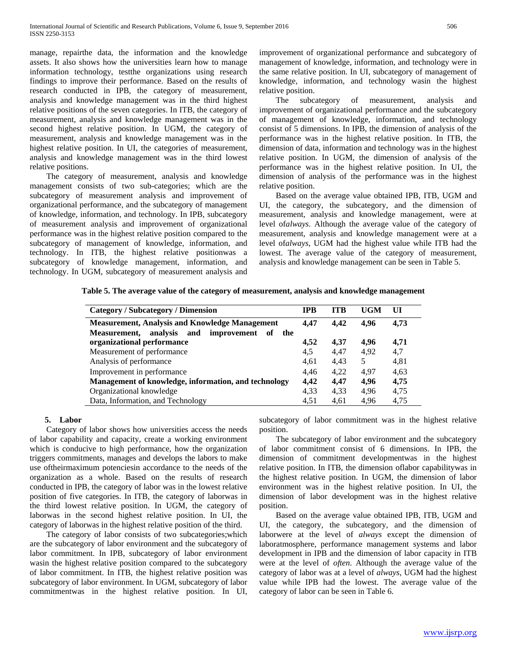manage, repairthe data, the information and the knowledge assets. It also shows how the universities learn how to manage information technology, testthe organizations using research findings to improve their performance. Based on the results of research conducted in IPB, the category of measurement, analysis and knowledge management was in the third highest relative positions of the seven categories. In ITB, the category of measurement, analysis and knowledge management was in the second highest relative position. In UGM, the category of measurement, analysis and knowledge management was in the highest relative position. In UI, the categories of measurement, analysis and knowledge management was in the third lowest relative positions.

 The category of measurement, analysis and knowledge management consists of two sub-categories; which are the subcategory of measurement analysis and improvement of organizational performance, and the subcategory of management of knowledge, information, and technology. In IPB, subcategory of measurement analysis and improvement of organizational performance was in the highest relative position compared to the subcategory of management of knowledge, information, and technology. In ITB, the highest relative positionwas a subcategory of knowledge management, information, and technology. In UGM, subcategory of measurement analysis and

improvement of organizational performance and subcategory of management of knowledge, information, and technology were in the same relative position. In UI, subcategory of management of knowledge, information, and technology wasin the highest relative position.

 The subcategory of measurement, analysis and improvement of organizational performance and the subcategory of management of knowledge, information, and technology consist of 5 dimensions. In IPB, the dimension of analysis of the performance was in the highest relative position. In ITB, the dimension of data, information and technology was in the highest relative position. In UGM, the dimension of analysis of the performance was in the highest relative position. In UI, the dimension of analysis of the performance was in the highest relative position.

 Based on the average value obtained IPB, ITB, UGM and UI, the category, the subcategory, and the dimension of measurement, analysis and knowledge management, were at level of*always*. Although the average value of the category of measurement, analysis and knowledge management were at a level of*always*, UGM had the highest value while ITB had the lowest. The average value of the category of measurement, analysis and knowledge management can be seen in Table 5.

|  |  | Table 5. The average value of the category of measurement, analysis and knowledge management |
|--|--|----------------------------------------------------------------------------------------------|
|  |  |                                                                                              |

| <b>Category / Subcategory / Dimension</b>                | <b>IPB</b> | <b>ITB</b> | <b>UGM</b> | UI   |
|----------------------------------------------------------|------------|------------|------------|------|
| <b>Measurement, Analysis and Knowledge Management</b>    | 4.47       | 4.42       | 4.96       | 4,73 |
| and<br>improvement<br>Measurement, analysis<br>оf<br>the |            |            |            |      |
| organizational performance                               | 4,52       | 4,37       | 4.96       | 4,71 |
| Measurement of performance                               | 4.5        | 4.47       | 4,92       | 4,7  |
| Analysis of performance                                  | 4,61       | 4,43       | 5          | 4,81 |
| Improvement in performance                               | 4.46       | 4.22       | 4.97       | 4,63 |
| Management of knowledge, information, and technology     | 4.42       | 4.47       | 4,96       | 4,75 |
| Organizational knowledge                                 | 4,33       | 4,33       | 4,96       | 4,75 |
| Data, Information, and Technology                        | 4,51       | 4,61       | 4,96       | 4,75 |

#### **5. Labor**

 Category of labor shows how universities access the needs of labor capability and capacity, create a working environment which is conducive to high performance, how the organization triggers commitments, manages and develops the labors to make use oftheirmaximum potenciesin accordance to the needs of the organization as a whole. Based on the results of research conducted in IPB, the category of labor was in the lowest relative position of five categories. In ITB, the category of laborwas in the third lowest relative position. In UGM, the category of laborwas in the second highest relative position. In UI, the category of laborwas in the highest relative position of the third.

 The category of labor consists of two subcategories;which are the subcategory of labor environment and the subcategory of labor commitment. In IPB, subcategory of labor environment wasin the highest relative position compared to the subcategory of labor commitment. In ITB, the highest relative position was subcategory of labor environment. In UGM, subcategory of labor commitmentwas in the highest relative position. In UI,

subcategory of labor commitment was in the highest relative position.

 The subcategory of labor environment and the subcategory of labor commitment consist of 6 dimensions. In IPB, the dimension of commitment developmentwas in the highest relative position. In ITB, the dimension oflabor capabilitywas in the highest relative position. In UGM, the dimension of labor environment was in the highest relative position. In UI, the dimension of labor development was in the highest relative position.

 Based on the average value obtained IPB, ITB, UGM and UI, the category, the subcategory, and the dimension of laborwere at the level of *always* except the dimension of laboratmosphere, performance management systems and labor development in IPB and the dimension of labor capacity in ITB were at the level of *often*. Although the average value of the category of labor was at a level of *always*, UGM had the highest value while IPB had the lowest. The average value of the category of labor can be seen in Table 6.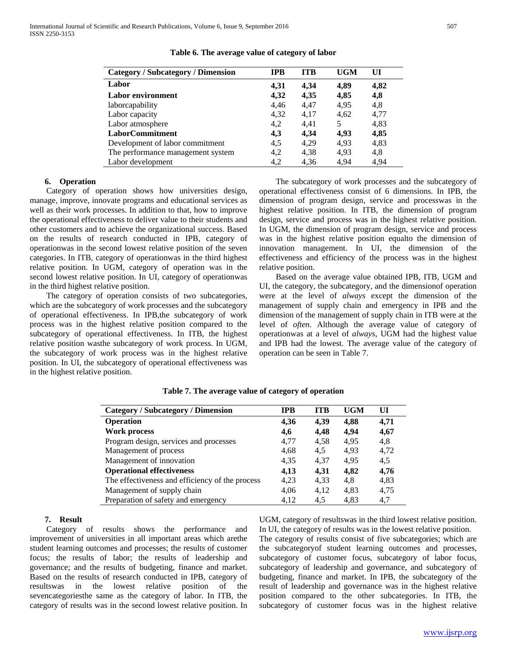| <b>Category / Subcategory / Dimension</b> | <b>IPB</b> | <b>ITB</b> | <b>UGM</b> | UI   |
|-------------------------------------------|------------|------------|------------|------|
| Labor                                     | 4,31       | 4,34       | 4,89       | 4,82 |
| Labor environment                         | 4,32       | 4,35       | 4,85       | 4,8  |
| laborcapability                           | 4,46       | 4,47       | 4,95       | 4,8  |
| Labor capacity                            | 4,32       | 4,17       | 4,62       | 4,77 |
| Labor atmosphere                          | 4,2        | 4.41       | 5          | 4,83 |
| <b>LaborCommitment</b>                    | 4,3        | 4,34       | 4.93       | 4,85 |
| Development of labor commitment           | 4,5        | 4,29       | 4.93       | 4,83 |
| The performance management system         | 4,2        | 4,38       | 4.93       | 4,8  |
| Labor development                         | 4,2        | 4,36       | 4,94       | 4,94 |

#### **Table 6. The average value of category of labor**

## **6. Operation**

 Category of operation shows how universities design, manage, improve, innovate programs and educational services as well as their work processes. In addition to that, how to improve the operational effectiveness to deliver value to their students and other customers and to achieve the organizational success. Based on the results of research conducted in IPB, category of operationwas in the second lowest relative position of the seven categories. In ITB, category of operationwas in the third highest relative position. In UGM, category of operation was in the second lowest relative position. In UI, category of operationwas in the third highest relative position.

 The category of operation consists of two subcategories, which are the subcategory of work processes and the subcategory of operational effectiveness. In IPB,the subcategory of work process was in the highest relative position compared to the subcategory of operational effectiveness. In ITB, the highest relative position wasthe subcategory of work process. In UGM, the subcategory of work process was in the highest relative position. In UI, the subcategory of operational effectiveness was in the highest relative position.

 The subcategory of work processes and the subcategory of operational effectiveness consist of 6 dimensions. In IPB, the dimension of program design, service and processwas in the highest relative position. In ITB, the dimension of program design, service and process was in the highest relative position. In UGM, the dimension of program design, service and process was in the highest relative position equalto the dimension of innovation management. In UI, the dimension of the effectiveness and efficiency of the process was in the highest relative position.

 Based on the average value obtained IPB, ITB, UGM and UI, the category, the subcategory, and the dimensionof operation were at the level of *always* except the dimension of the management of supply chain and emergency in IPB and the dimension of the management of supply chain in ITB were at the level of *often*. Although the average value of category of operationwas at a level of *always*, UGM had the highest value and IPB had the lowest. The average value of the category of operation can be seen in Table 7.

| <b>Category / Subcategory / Dimension</b>       | <b>IPB</b> | <b>ITB</b> | <b>UGM</b> | UI   |
|-------------------------------------------------|------------|------------|------------|------|
| <b>Operation</b>                                | 4,36       | 4,39       | 4,88       | 4,71 |
| <b>Work process</b>                             | 4,6        | 4,48       | 4.94       | 4,67 |
| Program design, services and processes          | 4,77       | 4,58       | 4,95       | 4,8  |
| Management of process                           | 4,68       | 4,5        | 4,93       | 4,72 |
| Management of innovation                        | 4,35       | 4,37       | 4,95       | 4,5  |
| <b>Operational effectiveness</b>                | 4,13       | 4,31       | 4,82       | 4,76 |
| The effectiveness and efficiency of the process | 4,23       | 4,33       | 4,8        | 4,83 |
| Management of supply chain                      | 4,06       | 4,12       | 4,83       | 4,75 |
| Preparation of safety and emergency             | 4.12       | 4.5        | 4.83       | 4.7  |

**Table 7. The average value of category of operation**

## **7. Result**

 Category of results shows the performance and improvement of universities in all important areas which arethe student learning outcomes and processes; the results of customer focus; the results of labor; the results of leadership and governance; and the results of budgeting, finance and market. Based on the results of research conducted in IPB, category of resultswas in the lowest relative position of the sevencategoriesthe same as the category of labor. In ITB, the category of results was in the second lowest relative position. In UGM, category of resultswas in the third lowest relative position. In UI, the category of results was in the lowest relative position. The category of results consist of five subcategories; which are the subcategoryof student learning outcomes and processes, subcategory of customer focus, subcategory of labor focus, subcategory of leadership and governance, and subcategory of budgeting, finance and market. In IPB, the subcategory of the result of leadership and governance was in the highest relative position compared to the other subcategories. In ITB, the subcategory of customer focus was in the highest relative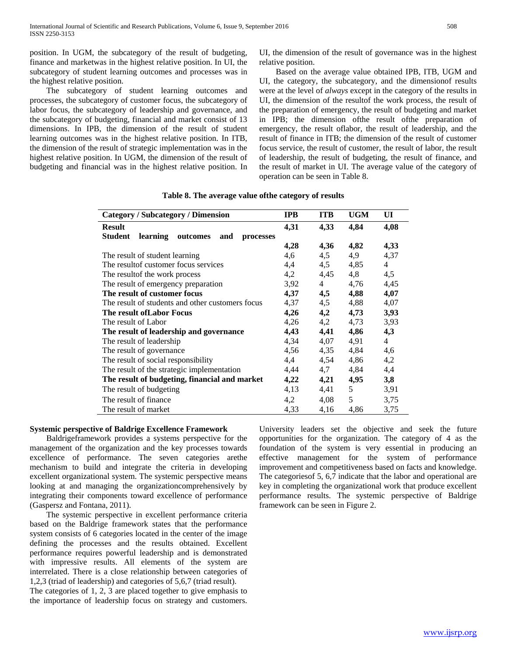position. In UGM, the subcategory of the result of budgeting, finance and marketwas in the highest relative position. In UI, the subcategory of student learning outcomes and processes was in the highest relative position.

 The subcategory of student learning outcomes and processes, the subcategory of customer focus, the subcategory of labor focus, the subcategory of leadership and governance, and the subcategory of budgeting, financial and market consist of 13 dimensions. In IPB, the dimension of the result of student learning outcomes was in the highest relative position. In ITB, the dimension of the result of strategic implementation was in the highest relative position. In UGM, the dimension of the result of budgeting and financial was in the highest relative position. In

UI, the dimension of the result of governance was in the highest relative position.

 Based on the average value obtained IPB, ITB, UGM and UI, the category, the subcategory, and the dimensionof results were at the level of *always* except in the category of the results in UI, the dimension of the resultof the work process, the result of the preparation of emergency, the result of budgeting and market in IPB; the dimension ofthe result ofthe preparation of emergency, the result oflabor, the result of leadership, and the result of finance in ITB; the dimension of the result of customer focus service, the result of customer, the result of labor, the result of leadership, the result of budgeting, the result of finance, and the result of market in UI. The average value of the category of operation can be seen in Table 8.

| <b>Category / Subcategory / Dimension</b>                  | <b>IPB</b> | <b>ITB</b>     | <b>UGM</b> | UI   |
|------------------------------------------------------------|------------|----------------|------------|------|
| <b>Result</b>                                              | 4,31       | 4,33           | 4,84       | 4,08 |
| <b>Student</b><br>learning<br>outcomes<br>and<br>processes |            |                |            |      |
|                                                            | 4,28       | 4,36           | 4,82       | 4,33 |
| The result of student learning                             | 4,6        | 4,5            | 4,9        | 4,37 |
| The result of customer focus services                      | 4,4        | 4,5            | 4,85       | 4    |
| The result of the work process                             | 4,2        | 4,45           | 4,8        | 4,5  |
| The result of emergency preparation                        | 3,92       | $\overline{4}$ | 4,76       | 4,45 |
| The result of customer focus                               | 4,37       | 4,5            | 4,88       | 4,07 |
| The result of students and other customers focus           | 4,37       | 4,5            | 4,88       | 4,07 |
| The result of Labor Focus                                  | 4,26       | 4,2            | 4,73       | 3,93 |
| The result of Labor                                        | 4,26       | 4,2            | 4,73       | 3,93 |
| The result of leadership and governance                    | 4,43       | 4,41           | 4,86       | 4,3  |
| The result of leadership                                   | 4,34       | 4,07           | 4,91       | 4    |
| The result of governance                                   | 4,56       | 4,35           | 4,84       | 4,6  |
| The result of social responsibility                        | 4,4        | 4,54           | 4,86       | 4,2  |
| The result of the strategic implementation                 | 4,44       | 4,7            | 4,84       | 4,4  |
| The result of budgeting, financial and market              | 4,22       | 4,21           | 4,95       | 3,8  |
| The result of budgeting                                    | 4,13       | 4,41           | 5          | 3,91 |
| The result of finance                                      | 4,2        | 4,08           | 5          | 3,75 |
| The result of market                                       | 4,33       | 4,16           | 4,86       | 3,75 |

### **Table 8. The average value ofthe category of results**

## **Systemic perspective of Baldrige Excellence Framework**

 Baldrigeframework provides a systems perspective for the management of the organization and the key processes towards excellence of performance. The seven categories arethe mechanism to build and integrate the criteria in developing excellent organizational system. The systemic perspective means looking at and managing the organizationcomprehensively by integrating their components toward excellence of performance (Gaspersz and Fontana, 2011).

 The systemic perspective in excellent performance criteria based on the Baldrige framework states that the performance system consists of 6 categories located in the center of the image defining the processes and the results obtained. Excellent performance requires powerful leadership and is demonstrated with impressive results. All elements of the system are interrelated. There is a close relationship between categories of 1,2,3 (triad of leadership) and categories of 5,6,7 (triad result).

The categories of 1, 2, 3 are placed together to give emphasis to the importance of leadership focus on strategy and customers. University leaders set the objective and seek the future opportunities for the organization. The category of 4 as the foundation of the system is very essential in producing an effective management for the system of performance improvement and competitiveness based on facts and knowledge. The categoriesof 5, 6,7 indicate that the labor and operational are key in completing the organizational work that produce excellent performance results. The systemic perspective of Baldrige framework can be seen in Figure 2.